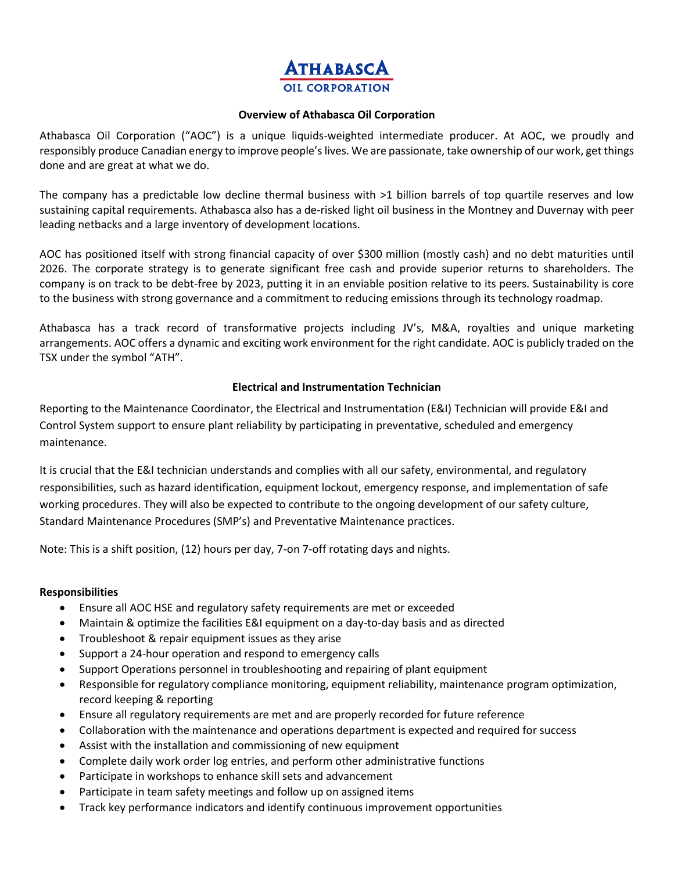# TH A BASC

#### **Overview of Athabasca Oil Corporation**

Athabasca Oil Corporation ("AOC") is a unique liquids-weighted intermediate producer. At AOC, we proudly and responsibly produce Canadian energy to improve people's lives. We are passionate, take ownership of our work, get things done and are great at what we do.

The company has a predictable low decline thermal business with >1 billion barrels of top quartile reserves and low sustaining capital requirements. Athabasca also has a de-risked light oil business in the Montney and Duvernay with peer leading netbacks and a large inventory of development locations.

AOC has positioned itself with strong financial capacity of over \$300 million (mostly cash) and no debt maturities until 2026. The corporate strategy is to generate significant free cash and provide superior returns to shareholders. The company is on track to be debt-free by 2023, putting it in an enviable position relative to its peers. Sustainability is core to the business with strong governance and a commitment to reducing emissions through its technology roadmap.

Athabasca has a track record of transformative projects including JV's, M&A, royalties and unique marketing arrangements. AOC offers a dynamic and exciting work environment for the right candidate. AOC is publicly traded on the TSX under the symbol "ATH".

## **Electrical and Instrumentation Technician**

Reporting to the Maintenance Coordinator, the Electrical and Instrumentation (E&I) Technician will provide E&I and Control System support to ensure plant reliability by participating in preventative, scheduled and emergency maintenance.

It is crucial that the E&I technician understands and complies with all our safety, environmental, and regulatory responsibilities, such as hazard identification, equipment lockout, emergency response, and implementation of safe working procedures. They will also be expected to contribute to the ongoing development of our safety culture, Standard Maintenance Procedures (SMP's) and Preventative Maintenance practices.

Note: This is a shift position, (12) hours per day, 7-on 7-off rotating days and nights.

## **Responsibilities**

- Ensure all AOC HSE and regulatory safety requirements are met or exceeded
- Maintain & optimize the facilities E&I equipment on a day-to-day basis and as directed
- Troubleshoot & repair equipment issues as they arise
- Support a 24-hour operation and respond to emergency calls
- Support Operations personnel in troubleshooting and repairing of plant equipment
- Responsible for regulatory compliance monitoring, equipment reliability, maintenance program optimization, record keeping & reporting
- Ensure all regulatory requirements are met and are properly recorded for future reference
- Collaboration with the maintenance and operations department is expected and required for success
- Assist with the installation and commissioning of new equipment
- Complete daily work order log entries, and perform other administrative functions
- Participate in workshops to enhance skill sets and advancement
- Participate in team safety meetings and follow up on assigned items
- Track key performance indicators and identify continuous improvement opportunities